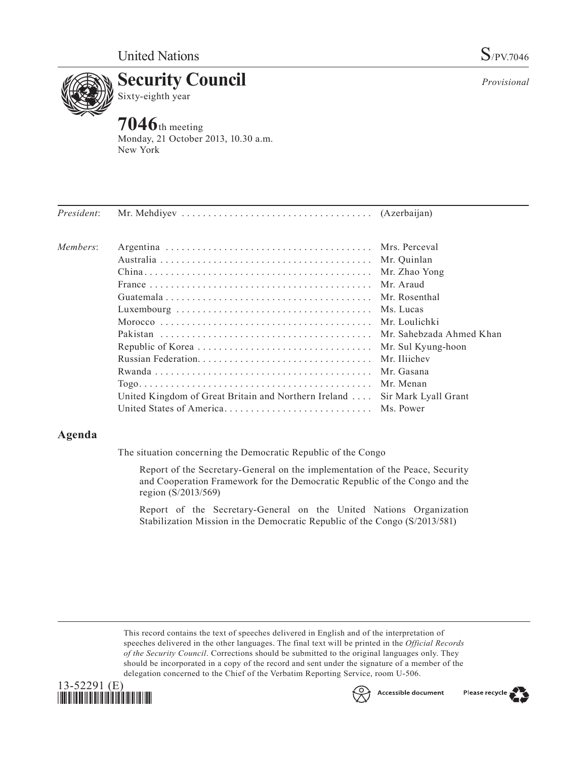



**7046**th meeting Monday, 21 October 2013, 10.30 a.m. New York

| President: |                                                      |                      |
|------------|------------------------------------------------------|----------------------|
| Members:   |                                                      |                      |
|            |                                                      | Mr. Quinlan          |
|            |                                                      | Mr. Zhao Yong        |
|            |                                                      | Mr. Araud            |
|            |                                                      | Mr. Rosenthal        |
|            |                                                      | Ms. Lucas            |
|            |                                                      |                      |
|            |                                                      |                      |
|            |                                                      | Mr. Sul Kyung-hoon   |
|            |                                                      | Mr. Iliichev         |
|            |                                                      | Mr. Gasana           |
|            |                                                      | Mr Menan             |
|            | United Kingdom of Great Britain and Northern Ireland | Sir Mark Lyall Grant |
|            |                                                      |                      |

## **Agenda**

The situation concerning the Democratic Republic of the Congo

Report of the Secretary-General on the implementation of the Peace, Security and Cooperation Framework for the Democratic Republic of the Congo and the region (S/2013/569)

Report of the Secretary-General on the United Nations Organization Stabilization Mission in the Democratic Republic of the Congo (S/2013/581)

This record contains the text of speeches delivered in English and of the interpretation of speeches delivered in the other languages. The final text will be printed in the *Official Records of the Security Council*. Corrections should be submitted to the original languages only. They should be incorporated in a copy of the record and sent under the signature of a member of the delegation concerned to the Chief of the Verbatim Reporting Service, room U-506.





Please recycle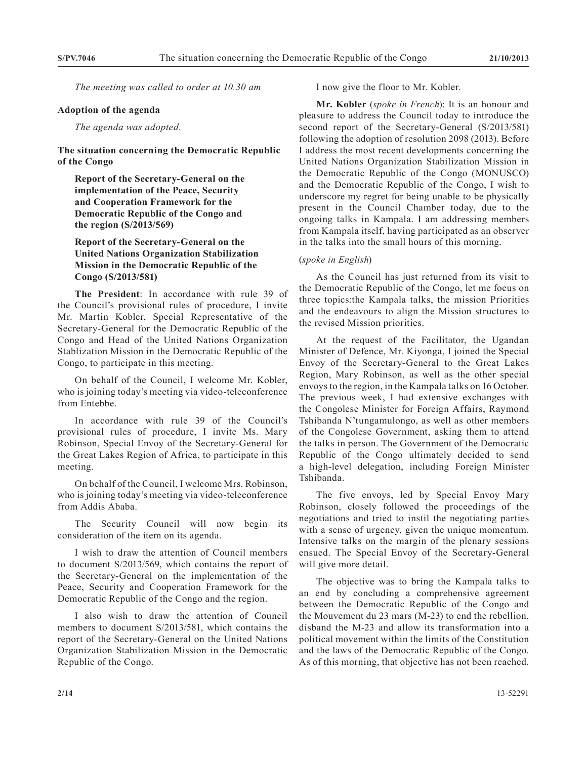*The meeting was called to order at 10.30 am*

## **Adoption of the agenda**

*The agenda was adopted.*

**The situation concerning the Democratic Republic of the Congo**

**Report of the Secretary-General on the implementation of the Peace, Security and Cooperation Framework for the Democratic Republic of the Congo and the region (S/2013/569)**

**Report of the Secretary-General on the United Nations Organization Stabilization Mission in the Democratic Republic of the Congo (S/2013/581)**

**The President**: In accordance with rule 39 of the Council's provisional rules of procedure, I invite Mr. Martin Kobler, Special Representative of the Secretary-General for the Democratic Republic of the Congo and Head of the United Nations Organization Stablization Mission in the Democratic Republic of the Congo, to participate in this meeting.

On behalf of the Council, I welcome Mr. Kobler, who is joining today's meeting via video-teleconference from Entebbe.

In accordance with rule 39 of the Council's provisional rules of procedure, I invite Ms. Mary Robinson, Special Envoy of the Secretary-General for the Great Lakes Region of Africa, to participate in this meeting.

On behalf of the Council, I welcome Mrs. Robinson, who is joining today's meeting via video-teleconference from Addis Ababa.

The Security Council will now begin its consideration of the item on its agenda.

I wish to draw the attention of Council members to document S/2013/569, which contains the report of the Secretary-General on the implementation of the Peace, Security and Cooperation Framework for the Democratic Republic of the Congo and the region.

I also wish to draw the attention of Council members to document S/2013/581, which contains the report of the Secretary-General on the United Nations Organization Stabilization Mission in the Democratic Republic of the Congo.

I now give the floor to Mr. Kobler.

**Mr. Kobler** (*spoke in French*): It is an honour and pleasure to address the Council today to introduce the second report of the Secretary-General (S/2013/581) following the adoption of resolution 2098 (2013). Before I address the most recent developments concerning the United Nations Organization Stabilization Mission in the Democratic Republic of the Congo (MONUSCO) and the Democratic Republic of the Congo, I wish to underscore my regret for being unable to be physically present in the Council Chamber today, due to the ongoing talks in Kampala. I am addressing members from Kampala itself, having participated as an observer in the talks into the small hours of this morning.

## (*spoke in English*)

As the Council has just returned from its visit to the Democratic Republic of the Congo, let me focus on three topics:the Kampala talks, the mission Priorities and the endeavours to align the Mission structures to the revised Mission priorities.

At the request of the Facilitator, the Ugandan Minister of Defence, Mr. Kiyonga, I joined the Special Envoy of the Secretary-General to the Great Lakes Region, Mary Robinson, as well as the other special envoys to the region, in the Kampala talks on 16 October. The previous week, I had extensive exchanges with the Congolese Minister for Foreign Affairs, Raymond Tshibanda N'tungamulongo, as well as other members of the Congolese Government, asking them to attend the talks in person. The Government of the Democratic Republic of the Congo ultimately decided to send a high-level delegation, including Foreign Minister Tshibanda.

The five envoys, led by Special Envoy Mary Robinson, closely followed the proceedings of the negotiations and tried to instil the negotiating parties with a sense of urgency, given the unique momentum. Intensive talks on the margin of the plenary sessions ensued. The Special Envoy of the Secretary-General will give more detail.

The objective was to bring the Kampala talks to an end by concluding a comprehensive agreement between the Democratic Republic of the Congo and the Mouvement du 23 mars (M-23) to end the rebellion, disband the M-23 and allow its transformation into a political movement within the limits of the Constitution and the laws of the Democratic Republic of the Congo. As of this morning, that objective has not been reached.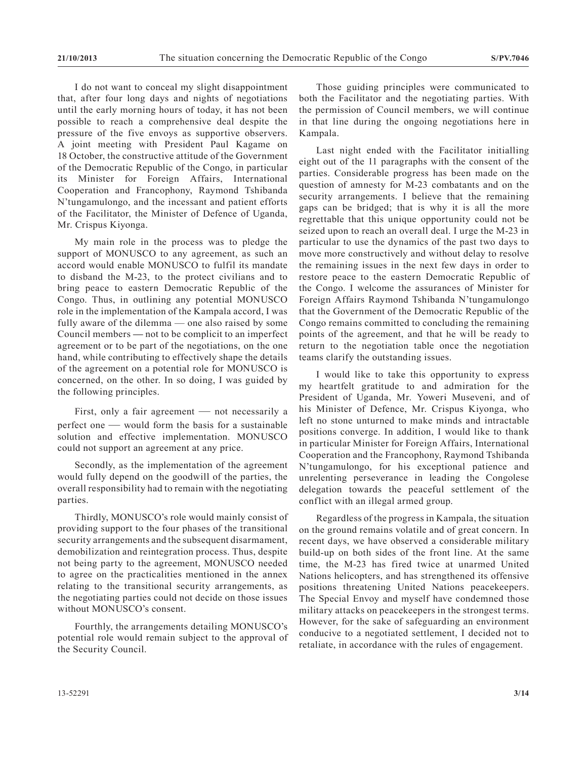I do not want to conceal my slight disappointment that, after four long days and nights of negotiations until the early morning hours of today, it has not been possible to reach a comprehensive deal despite the pressure of the five envoys as supportive observers. A joint meeting with President Paul Kagame on 18 October, the constructive attitude of the Government of the Democratic Republic of the Congo, in particular its Minister for Foreign Affairs, International Cooperation and Francophony, Raymond Tshibanda N'tungamulongo, and the incessant and patient efforts of the Facilitator, the Minister of Defence of Uganda, Mr. Crispus Kiyonga.

My main role in the process was to pledge the support of MONUSCO to any agreement, as such an accord would enable MONUSCO to fulfil its mandate to disband the M-23, to the protect civilians and to bring peace to eastern Democratic Republic of the Congo. Thus, in outlining any potential MONUSCO role in the implementation of the Kampala accord, I was fully aware of the dilemma — one also raised by some Council members **—** not to be complicit to an imperfect agreement or to be part of the negotiations, on the one hand, while contributing to effectively shape the details of the agreement on a potential role for MONUSCO is concerned, on the other. In so doing, I was guided by the following principles.

First, only a fair agreement — not necessarily a perfect one — would form the basis for a sustainable solution and effective implementation. MONUSCO could not support an agreement at any price.

Secondly, as the implementation of the agreement would fully depend on the goodwill of the parties, the overall responsibility had to remain with the negotiating parties.

Thirdly, MONUSCO's role would mainly consist of providing support to the four phases of the transitional security arrangements and the subsequent disarmament, demobilization and reintegration process. Thus, despite not being party to the agreement, MONUSCO needed to agree on the practicalities mentioned in the annex relating to the transitional security arrangements, as the negotiating parties could not decide on those issues without MONUSCO's consent.

Fourthly, the arrangements detailing MONUSCO's potential role would remain subject to the approval of the Security Council.

Those guiding principles were communicated to both the Facilitator and the negotiating parties. With the permission of Council members, we will continue in that line during the ongoing negotiations here in Kampala.

Last night ended with the Facilitator initialling eight out of the 11 paragraphs with the consent of the parties. Considerable progress has been made on the question of amnesty for M-23 combatants and on the security arrangements. I believe that the remaining gaps can be bridged; that is why it is all the more regrettable that this unique opportunity could not be seized upon to reach an overall deal. I urge the M-23 in particular to use the dynamics of the past two days to move more constructively and without delay to resolve the remaining issues in the next few days in order to restore peace to the eastern Democratic Republic of the Congo. I welcome the assurances of Minister for Foreign Affairs Raymond Tshibanda N'tungamulongo that the Government of the Democratic Republic of the Congo remains committed to concluding the remaining points of the agreement, and that he will be ready to return to the negotiation table once the negotiation teams clarify the outstanding issues.

I would like to take this opportunity to express my heartfelt gratitude to and admiration for the President of Uganda, Mr. Yoweri Museveni, and of his Minister of Defence, Mr. Crispus Kiyonga, who left no stone unturned to make minds and intractable positions converge. In addition, I would like to thank in particular Minister for Foreign Affairs, International Cooperation and the Francophony, Raymond Tshibanda N'tungamulongo, for his exceptional patience and unrelenting perseverance in leading the Congolese delegation towards the peaceful settlement of the conflict with an illegal armed group.

Regardless of the progress in Kampala, the situation on the ground remains volatile and of great concern. In recent days, we have observed a considerable military build-up on both sides of the front line. At the same time, the M-23 has fired twice at unarmed United Nations helicopters, and has strengthened its offensive positions threatening United Nations peacekeepers. The Special Envoy and myself have condemned those military attacks on peacekeepers in the strongest terms. However, for the sake of safeguarding an environment conducive to a negotiated settlement, I decided not to retaliate, in accordance with the rules of engagement.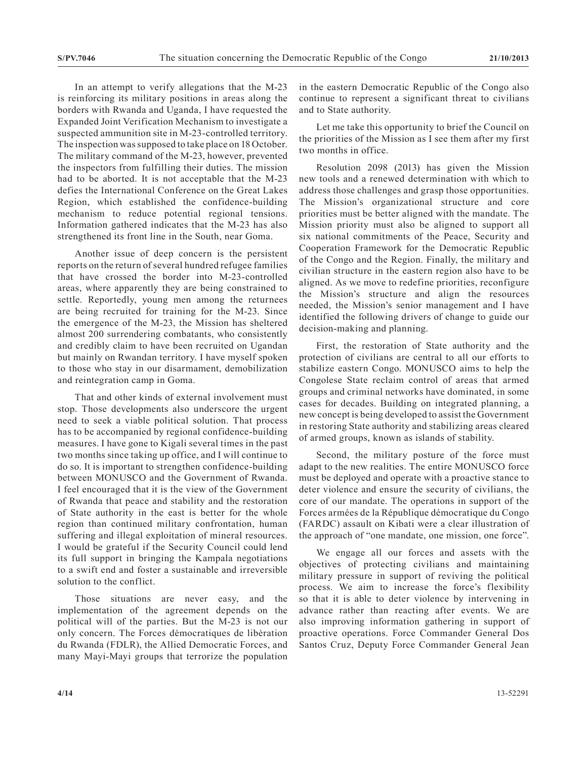In an attempt to verify allegations that the M-23 is reinforcing its military positions in areas along the borders with Rwanda and Uganda, I have requested the Expanded Joint Verification Mechanism to investigate a suspected ammunition site in M-23-controlled territory. The inspection was supposed to take place on 18 October. The military command of the M-23, however, prevented the inspectors from fulfilling their duties. The mission had to be aborted. It is not acceptable that the M-23 defies the International Conference on the Great Lakes Region, which established the confidence-building mechanism to reduce potential regional tensions. Information gathered indicates that the M-23 has also strengthened its front line in the South, near Goma.

Another issue of deep concern is the persistent reports on the return of several hundred refugee families that have crossed the border into M-23-controlled areas, where apparently they are being constrained to settle. Reportedly, young men among the returnees are being recruited for training for the M-23. Since the emergence of the M-23, the Mission has sheltered almost 200 surrendering combatants, who consistently and credibly claim to have been recruited on Ugandan but mainly on Rwandan territory. I have myself spoken to those who stay in our disarmament, demobilization and reintegration camp in Goma.

That and other kinds of external involvement must stop. Those developments also underscore the urgent need to seek a viable political solution. That process has to be accompanied by regional confidence-building measures. I have gone to Kigali several times in the past two months since taking up office, and I will continue to do so. It is important to strengthen confidence-building between MONUSCO and the Government of Rwanda. I feel encouraged that it is the view of the Government of Rwanda that peace and stability and the restoration of State authority in the east is better for the whole region than continued military confrontation, human suffering and illegal exploitation of mineral resources. I would be grateful if the Security Council could lend its full support in bringing the Kampala negotiations to a swift end and foster a sustainable and irreversible solution to the conflict.

Those situations are never easy, and the implementation of the agreement depends on the political will of the parties. But the M-23 is not our only concern. The Forces democratiques de liberation du Rwanda (FDLR), the Allied Democratic Forces, and many Mayi-Mayi groups that terrorize the population in the eastern Democratic Republic of the Congo also continue to represent a significant threat to civilians and to State authority.

Let me take this opportunity to brief the Council on the priorities of the Mission as I see them after my first two months in office.

Resolution 2098 (2013) has given the Mission new tools and a renewed determination with which to address those challenges and grasp those opportunities. The Mission's organizational structure and core priorities must be better aligned with the mandate. The Mission priority must also be aligned to support all six national commitments of the Peace, Security and Cooperation Framework for the Democratic Republic of the Congo and the Region. Finally, the military and civilian structure in the eastern region also have to be aligned. As we move to redefine priorities, reconfigure the Mission's structure and align the resources needed, the Mission's senior management and I have identified the following drivers of change to guide our decision-making and planning.

First, the restoration of State authority and the protection of civilians are central to all our efforts to stabilize eastern Congo. MONUSCO aims to help the Congolese State reclaim control of areas that armed groups and criminal networks have dominated, in some cases for decades. Building on integrated planning, a new concept is being developed to assist the Government in restoring State authority and stabilizing areas cleared of armed groups, known as islands of stability.

Second, the military posture of the force must adapt to the new realities. The entire MONUSCO force must be deployed and operate with a proactive stance to deter violence and ensure the security of civilians, the core of our mandate. The operations in support of the Forces armées de la République démocratique du Congo (FARDC) assault on Kibati were a clear illustration of the approach of "one mandate, one mission, one force".

We engage all our forces and assets with the objectives of protecting civilians and maintaining military pressure in support of reviving the political process. We aim to increase the force's flexibility so that it is able to deter violence by intervening in advance rather than reacting after events. We are also improving information gathering in support of proactive operations. Force Commander General Dos Santos Cruz, Deputy Force Commander General Jean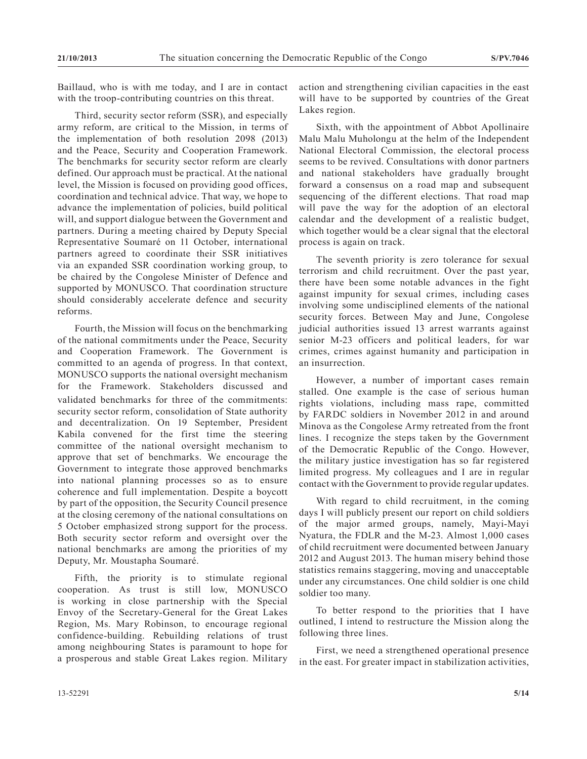Baillaud, who is with me today, and I are in contact with the troop-contributing countries on this threat.

Third, security sector reform (SSR), and especially army reform, are critical to the Mission, in terms of the implementation of both resolution 2098 (2013) and the Peace, Security and Cooperation Framework. The benchmarks for security sector reform are clearly defined. Our approach must be practical. At the national level, the Mission is focused on providing good offices, coordination and technical advice. That way, we hope to advance the implementation of policies, build political will, and support dialogue between the Government and partners. During a meeting chaired by Deputy Special Representative Soumaré on 11 October, international partners agreed to coordinate their SSR initiatives via an expanded SSR coordination working group, to be chaired by the Congolese Minister of Defence and supported by MONUSCO. That coordination structure should considerably accelerate defence and security reforms.

Fourth, the Mission will focus on the benchmarking of the national commitments under the Peace, Security and Cooperation Framework. The Government is committed to an agenda of progress. In that context, MONUSCO supports the national oversight mechanism for the Framework. Stakeholders discussed and validated benchmarks for three of the commitments: security sector reform, consolidation of State authority and decentralization. On 19 September, President Kabila convened for the first time the steering committee of the national oversight mechanism to approve that set of benchmarks. We encourage the Government to integrate those approved benchmarks into national planning processes so as to ensure coherence and full implementation. Despite a boycott by part of the opposition, the Security Council presence at the closing ceremony of the national consultations on 5 October emphasized strong support for the process. Both security sector reform and oversight over the national benchmarks are among the priorities of my Deputy, Mr. Moustapha Soumaré.

Fifth, the priority is to stimulate regional cooperation. As trust is still low, MONUSCO is working in close partnership with the Special Envoy of the Secretary-General for the Great Lakes Region, Ms. Mary Robinson, to encourage regional confidence-building. Rebuilding relations of trust among neighbouring States is paramount to hope for a prosperous and stable Great Lakes region. Military

action and strengthening civilian capacities in the east will have to be supported by countries of the Great Lakes region.

Sixth, with the appointment of Abbot Apollinaire Malu Malu Muholongu at the helm of the Independent National Electoral Commission, the electoral process seems to be revived. Consultations with donor partners and national stakeholders have gradually brought forward a consensus on a road map and subsequent sequencing of the different elections. That road map will pave the way for the adoption of an electoral calendar and the development of a realistic budget, which together would be a clear signal that the electoral process is again on track.

The seventh priority is zero tolerance for sexual terrorism and child recruitment. Over the past year, there have been some notable advances in the fight against impunity for sexual crimes, including cases involving some undisciplined elements of the national security forces. Between May and June, Congolese judicial authorities issued 13 arrest warrants against senior M-23 officers and political leaders, for war crimes, crimes against humanity and participation in an insurrection.

However, a number of important cases remain stalled. One example is the case of serious human rights violations, including mass rape, committed by FARDC soldiers in November 2012 in and around Minova as the Congolese Army retreated from the front lines. I recognize the steps taken by the Government of the Democratic Republic of the Congo. However, the military justice investigation has so far registered limited progress. My colleagues and I are in regular contact with the Government to provide regular updates.

With regard to child recruitment, in the coming days I will publicly present our report on child soldiers of the major armed groups, namely, Mayi-Mayi Nyatura, the FDLR and the M-23. Almost 1,000 cases of child recruitment were documented between January 2012 and August 2013. The human misery behind those statistics remains staggering, moving and unacceptable under any circumstances. One child soldier is one child soldier too many.

To better respond to the priorities that I have outlined, I intend to restructure the Mission along the following three lines.

First, we need a strengthened operational presence in the east. For greater impact in stabilization activities,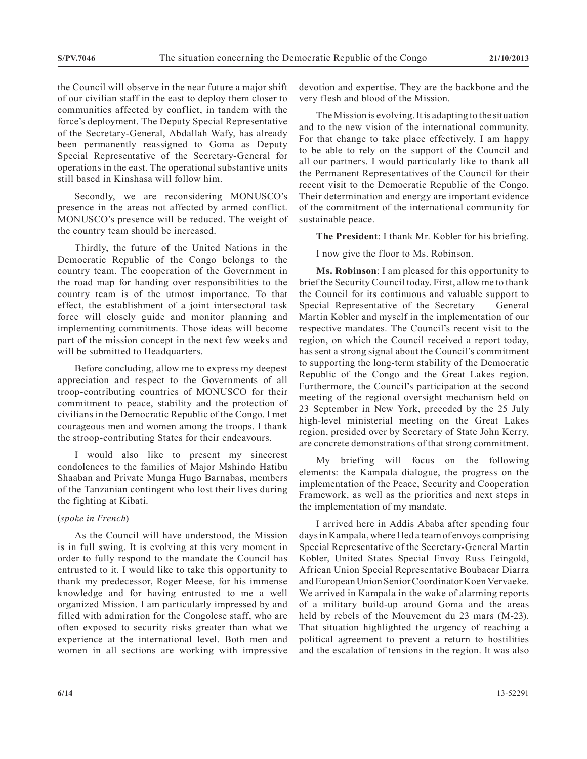the Council will observe in the near future a major shift of our civilian staff in the east to deploy them closer to communities affected by conflict, in tandem with the force's deployment. The Deputy Special Representative of the Secretary-General, Abdallah Wafy, has already been permanently reassigned to Goma as Deputy Special Representative of the Secretary-General for operations in the east. The operational substantive units still based in Kinshasa will follow him.

Secondly, we are reconsidering MONUSCO's presence in the areas not affected by armed conflict. MONUSCO's presence will be reduced. The weight of the country team should be increased.

Thirdly, the future of the United Nations in the Democratic Republic of the Congo belongs to the country team. The cooperation of the Government in the road map for handing over responsibilities to the country team is of the utmost importance. To that effect, the establishment of a joint intersectoral task force will closely guide and monitor planning and implementing commitments. Those ideas will become part of the mission concept in the next few weeks and will be submitted to Headquarters.

Before concluding, allow me to express my deepest appreciation and respect to the Governments of all troop-contributing countries of MONUSCO for their commitment to peace, stability and the protection of civilians in the Democratic Republic of the Congo. I met courageous men and women among the troops. I thank the stroop-contributing States for their endeavours.

I would also like to present my sincerest condolences to the families of Major Mshindo Hatibu Shaaban and Private Munga Hugo Barnabas, members of the Tanzanian contingent who lost their lives during the fighting at Kibati.

## (*spoke in French*)

As the Council will have understood, the Mission is in full swing. It is evolving at this very moment in order to fully respond to the mandate the Council has entrusted to it. I would like to take this opportunity to thank my predecessor, Roger Meese, for his immense knowledge and for having entrusted to me a well organized Mission. I am particularly impressed by and filled with admiration for the Congolese staff, who are often exposed to security risks greater than what we experience at the international level. Both men and women in all sections are working with impressive devotion and expertise. They are the backbone and the very flesh and blood of the Mission.

The Mission is evolving. It is adapting to the situation and to the new vision of the international community. For that change to take place effectively, I am happy to be able to rely on the support of the Council and all our partners. I would particularly like to thank all the Permanent Representatives of the Council for their recent visit to the Democratic Republic of the Congo. Their determination and energy are important evidence of the commitment of the international community for sustainable peace.

**The President**: I thank Mr. Kobler for his briefing.

I now give the floor to Ms. Robinson.

**Ms. Robinson**: I am pleased for this opportunity to brief the Security Council today. First, allow me to thank the Council for its continuous and valuable support to Special Representative of the Secretary — General Martin Kobler and myself in the implementation of our respective mandates. The Council's recent visit to the region, on which the Council received a report today, has sent a strong signal about the Council's commitment to supporting the long-term stability of the Democratic Republic of the Congo and the Great Lakes region. Furthermore, the Council's participation at the second meeting of the regional oversight mechanism held on 23 September in New York, preceded by the 25 July high-level ministerial meeting on the Great Lakes region, presided over by Secretary of State John Kerry, are concrete demonstrations of that strong commitment.

My briefing will focus on the following elements: the Kampala dialogue, the progress on the implementation of the Peace, Security and Cooperation Framework, as well as the priorities and next steps in the implementation of my mandate.

I arrived here in Addis Ababa after spending four days in Kampala, where I led a team of envoys comprising Special Representative of the Secretary-General Martin Kobler, United States Special Envoy Russ Feingold, African Union Special Representative Boubacar Diarra and European Union Senior Coordinator Koen Vervaeke. We arrived in Kampala in the wake of alarming reports of a military build-up around Goma and the areas held by rebels of the Mouvement du 23 mars (M-23). That situation highlighted the urgency of reaching a political agreement to prevent a return to hostilities and the escalation of tensions in the region. It was also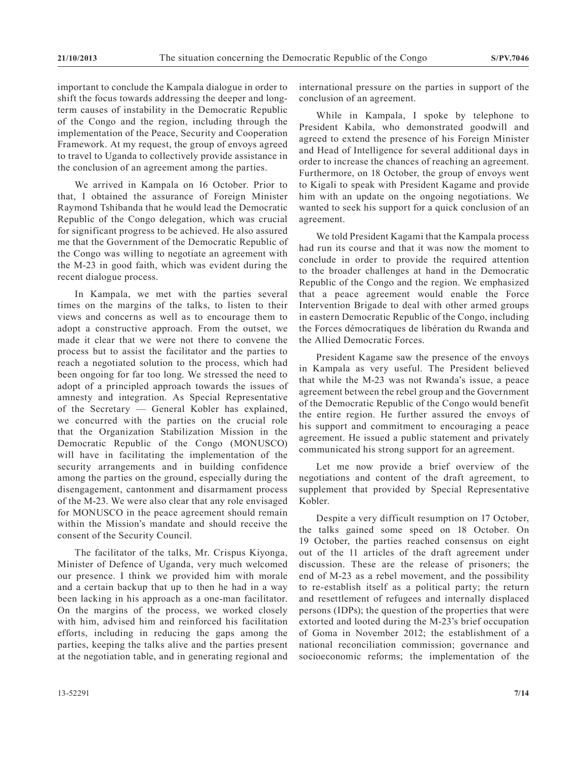important to conclude the Kampala dialogue in order to shift the focus towards addressing the deeper and longterm causes of instability in the Democratic Republic of the Congo and the region, including through the implementation of the Peace, Security and Cooperation Framework. At my request, the group of envoys agreed to travel to Uganda to collectively provide assistance in the conclusion of an agreement among the parties.

We arrived in Kampala on 16 October. Prior to that, I obtained the assurance of Foreign Minister Raymond Tshibanda that he would lead the Democratic Republic of the Congo delegation, which was crucial for significant progress to be achieved. He also assured me that the Government of the Democratic Republic of the Congo was willing to negotiate an agreement with the M-23 in good faith, which was evident during the recent dialogue process.

In Kampala, we met with the parties several times on the margins of the talks, to listen to their views and concerns as well as to encourage them to adopt a constructive approach. From the outset, we made it clear that we were not there to convene the process but to assist the facilitator and the parties to reach a negotiated solution to the process, which had been ongoing for far too long. We stressed the need to adopt of a principled approach towards the issues of amnesty and integration. As Special Representative of the Secretary — General Kobler has explained, we concurred with the parties on the crucial role that the Organization Stabilization Mission in the Democratic Republic of the Congo (MONUSCO) will have in facilitating the implementation of the security arrangements and in building confidence among the parties on the ground, especially during the disengagement, cantonment and disarmament process of the M-23. We were also clear that any role envisaged for MONUSCO in the peace agreement should remain within the Mission's mandate and should receive the consent of the Security Council.

The facilitator of the talks, Mr. Crispus Kiyonga, Minister of Defence of Uganda, very much welcomed our presence. I think we provided him with morale and a certain backup that up to then he had in a way been lacking in his approach as a one-man facilitator. On the margins of the process, we worked closely with him, advised him and reinforced his facilitation efforts, including in reducing the gaps among the parties, keeping the talks alive and the parties present at the negotiation table, and in generating regional and international pressure on the parties in support of the conclusion of an agreement.

While in Kampala, I spoke by telephone to President Kabila, who demonstrated goodwill and agreed to extend the presence of his Foreign Minister and Head of Intelligence for several additional days in order to increase the chances of reaching an agreement. Furthermore, on 18 October, the group of envoys went to Kigali to speak with President Kagame and provide him with an update on the ongoing negotiations. We wanted to seek his support for a quick conclusion of an agreement.

We told President Kagami that the Kampala process had run its course and that it was now the moment to conclude in order to provide the required attention to the broader challenges at hand in the Democratic Republic of the Congo and the region. We emphasized that a peace agreement would enable the Force Intervention Brigade to deal with other armed groups in eastern Democratic Republic of the Congo, including the Forces démocratiques de libération du Rwanda and the Allied Democratic Forces.

President Kagame saw the presence of the envoys in Kampala as very useful. The President believed that while the M-23 was not Rwanda's issue, a peace agreement between the rebel group and the Government of the Democratic Republic of the Congo would benefit the entire region. He further assured the envoys of his support and commitment to encouraging a peace agreement. He issued a public statement and privately communicated his strong support for an agreement.

Let me now provide a brief overview of the negotiations and content of the draft agreement, to supplement that provided by Special Representative Kobler.

Despite a very difficult resumption on 17 October, the talks gained some speed on 18 October. On 19 October, the parties reached consensus on eight out of the 11 articles of the draft agreement under discussion. These are the release of prisoners; the end of M-23 as a rebel movement, and the possibility to re-establish itself as a political party; the return and resettlement of refugees and internally displaced persons (IDPs); the question of the properties that were extorted and looted during the M-23's brief occupation of Goma in November 2012; the establishment of a national reconciliation commission; governance and socioeconomic reforms; the implementation of the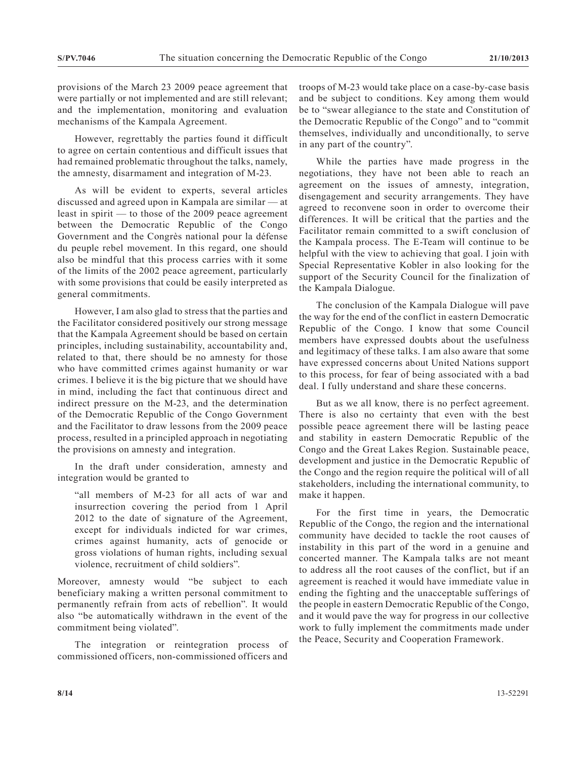provisions of the March 23 2009 peace agreement that were partially or not implemented and are still relevant; and the implementation, monitoring and evaluation mechanisms of the Kampala Agreement.

However, regrettably the parties found it difficult to agree on certain contentious and difficult issues that had remained problematic throughout the talks, namely, the amnesty, disarmament and integration of M-23.

As will be evident to experts, several articles discussed and agreed upon in Kampala are similar — at least in spirit — to those of the 2009 peace agreement between the Democratic Republic of the Congo Government and the Congrès national pour la défense du peuple rebel movement. In this regard, one should also be mindful that this process carries with it some of the limits of the 2002 peace agreement, particularly with some provisions that could be easily interpreted as general commitments.

However, I am also glad to stress that the parties and the Facilitator considered positively our strong message that the Kampala Agreement should be based on certain principles, including sustainability, accountability and, related to that, there should be no amnesty for those who have committed crimes against humanity or war crimes. I believe it is the big picture that we should have in mind, including the fact that continuous direct and indirect pressure on the M-23, and the determination of the Democratic Republic of the Congo Government and the Facilitator to draw lessons from the 2009 peace process, resulted in a principled approach in negotiating the provisions on amnesty and integration.

In the draft under consideration, amnesty and integration would be granted to

"all members of M-23 for all acts of war and insurrection covering the period from 1 April 2012 to the date of signature of the Agreement, except for individuals indicted for war crimes, crimes against humanity, acts of genocide or gross violations of human rights, including sexual violence, recruitment of child soldiers".

Moreover, amnesty would "be subject to each beneficiary making a written personal commitment to permanently refrain from acts of rebellion". It would also "be automatically withdrawn in the event of the commitment being violated".

The integration or reintegration process of commissioned officers, non-commissioned officers and

troops of M-23 would take place on a case-by-case basis and be subject to conditions. Key among them would be to "swear allegiance to the state and Constitution of the Democratic Republic of the Congo" and to "commit themselves, individually and unconditionally, to serve in any part of the country".

While the parties have made progress in the negotiations, they have not been able to reach an agreement on the issues of amnesty, integration, disengagement and security arrangements. They have agreed to reconvene soon in order to overcome their differences. It will be critical that the parties and the Facilitator remain committed to a swift conclusion of the Kampala process. The E-Team will continue to be helpful with the view to achieving that goal. I join with Special Representative Kobler in also looking for the support of the Security Council for the finalization of the Kampala Dialogue.

The conclusion of the Kampala Dialogue will pave the way for the end of the conflict in eastern Democratic Republic of the Congo. I know that some Council members have expressed doubts about the usefulness and legitimacy of these talks. I am also aware that some have expressed concerns about United Nations support to this process, for fear of being associated with a bad deal. I fully understand and share these concerns.

But as we all know, there is no perfect agreement. There is also no certainty that even with the best possible peace agreement there will be lasting peace and stability in eastern Democratic Republic of the Congo and the Great Lakes Region. Sustainable peace, development and justice in the Democratic Republic of the Congo and the region require the political will of all stakeholders, including the international community, to make it happen.

For the first time in years, the Democratic Republic of the Congo, the region and the international community have decided to tackle the root causes of instability in this part of the word in a genuine and concerted manner. The Kampala talks are not meant to address all the root causes of the conflict, but if an agreement is reached it would have immediate value in ending the fighting and the unacceptable sufferings of the people in eastern Democratic Republic of the Congo, and it would pave the way for progress in our collective work to fully implement the commitments made under the Peace, Security and Cooperation Framework.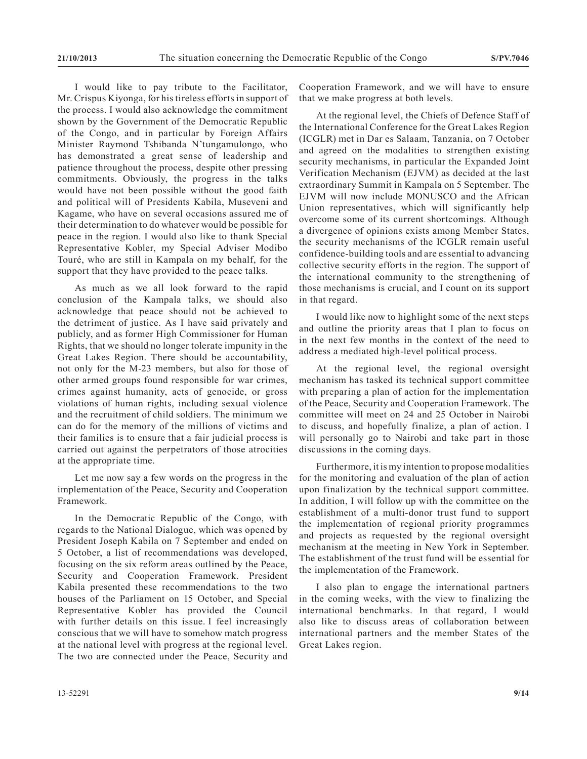I would like to pay tribute to the Facilitator, Mr. Crispus Kiyonga, for his tireless efforts in support of the process. I would also acknowledge the commitment shown by the Government of the Democratic Republic of the Congo, and in particular by Foreign Affairs Minister Raymond Tshibanda N'tungamulongo, who has demonstrated a great sense of leadership and patience throughout the process, despite other pressing commitments. Obviously, the progress in the talks would have not been possible without the good faith and political will of Presidents Kabila, Museveni and Kagame, who have on several occasions assured me of their determination to do whatever would be possible for peace in the region. I would also like to thank Special Representative Kobler, my Special Adviser Modibo Touré, who are still in Kampala on my behalf, for the support that they have provided to the peace talks.

As much as we all look forward to the rapid conclusion of the Kampala talks, we should also acknowledge that peace should not be achieved to the detriment of justice. As I have said privately and publicly, and as former High Commissioner for Human Rights, that we should no longer tolerate impunity in the Great Lakes Region. There should be accountability, not only for the M-23 members, but also for those of other armed groups found responsible for war crimes, crimes against humanity, acts of genocide, or gross violations of human rights, including sexual violence and the recruitment of child soldiers. The minimum we can do for the memory of the millions of victims and their families is to ensure that a fair judicial process is carried out against the perpetrators of those atrocities at the appropriate time.

Let me now say a few words on the progress in the implementation of the Peace, Security and Cooperation Framework.

In the Democratic Republic of the Congo, with regards to the National Dialogue, which was opened by President Joseph Kabila on 7 September and ended on 5 October, a list of recommendations was developed, focusing on the six reform areas outlined by the Peace, Security and Cooperation Framework. President Kabila presented these recommendations to the two houses of the Parliament on 15 October, and Special Representative Kobler has provided the Council with further details on this issue. I feel increasingly conscious that we will have to somehow match progress at the national level with progress at the regional level. The two are connected under the Peace, Security and

Cooperation Framework, and we will have to ensure that we make progress at both levels.

At the regional level, the Chiefs of Defence Staff of the International Conference for the Great Lakes Region (ICGLR) met in Dar es Salaam, Tanzania, on 7 October and agreed on the modalities to strengthen existing security mechanisms, in particular the Expanded Joint Verification Mechanism (EJVM) as decided at the last extraordinary Summit in Kampala on 5 September. The EJVM will now include MONUSCO and the African Union representatives, which will significantly help overcome some of its current shortcomings. Although a divergence of opinions exists among Member States, the security mechanisms of the ICGLR remain useful confidence-building tools and are essential to advancing collective security efforts in the region. The support of the international community to the strengthening of those mechanisms is crucial, and I count on its support in that regard.

I would like now to highlight some of the next steps and outline the priority areas that I plan to focus on in the next few months in the context of the need to address a mediated high-level political process.

At the regional level, the regional oversight mechanism has tasked its technical support committee with preparing a plan of action for the implementation of the Peace, Security and Cooperation Framework. The committee will meet on 24 and 25 October in Nairobi to discuss, and hopefully finalize, a plan of action. I will personally go to Nairobi and take part in those discussions in the coming days.

Furthermore, it is my intention to propose modalities for the monitoring and evaluation of the plan of action upon finalization by the technical support committee. In addition, I will follow up with the committee on the establishment of a multi-donor trust fund to support the implementation of regional priority programmes and projects as requested by the regional oversight mechanism at the meeting in New York in September. The establishment of the trust fund will be essential for the implementation of the Framework.

I also plan to engage the international partners in the coming weeks, with the view to finalizing the international benchmarks. In that regard, I would also like to discuss areas of collaboration between international partners and the member States of the Great Lakes region.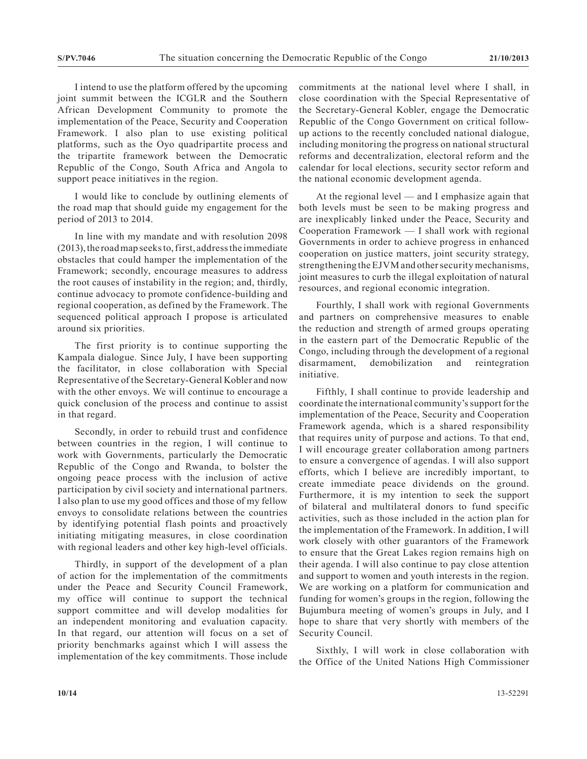I intend to use the platform offered by the upcoming joint summit between the ICGLR and the Southern African Development Community to promote the implementation of the Peace, Security and Cooperation Framework. I also plan to use existing political platforms, such as the Oyo quadripartite process and the tripartite framework between the Democratic Republic of the Congo, South Africa and Angola to support peace initiatives in the region.

I would like to conclude by outlining elements of the road map that should guide my engagement for the period of 2013 to 2014.

In line with my mandate and with resolution 2098 (2013), the road map seeks to, first, address the immediate obstacles that could hamper the implementation of the Framework; secondly, encourage measures to address the root causes of instability in the region; and, thirdly, continue advocacy to promote confidence-building and regional cooperation, as defined by the Framework. The sequenced political approach I propose is articulated around six priorities.

The first priority is to continue supporting the Kampala dialogue. Since July, I have been supporting the facilitator, in close collaboration with Special Representative of the Secretary-General Kobler and now with the other envoys. We will continue to encourage a quick conclusion of the process and continue to assist in that regard.

Secondly, in order to rebuild trust and confidence between countries in the region, I will continue to work with Governments, particularly the Democratic Republic of the Congo and Rwanda, to bolster the ongoing peace process with the inclusion of active participation by civil society and international partners. I also plan to use my good offices and those of my fellow envoys to consolidate relations between the countries by identifying potential flash points and proactively initiating mitigating measures, in close coordination with regional leaders and other key high-level officials.

Thirdly, in support of the development of a plan of action for the implementation of the commitments under the Peace and Security Council Framework, my office will continue to support the technical support committee and will develop modalities for an independent monitoring and evaluation capacity. In that regard, our attention will focus on a set of priority benchmarks against which I will assess the implementation of the key commitments. Those include

commitments at the national level where I shall, in close coordination with the Special Representative of the Secretary-General Kobler, engage the Democratic Republic of the Congo Government on critical followup actions to the recently concluded national dialogue, including monitoring the progress on national structural reforms and decentralization, electoral reform and the calendar for local elections, security sector reform and the national economic development agenda.

At the regional level — and I emphasize again that both levels must be seen to be making progress and are inexplicably linked under the Peace, Security and Cooperation Framework — I shall work with regional Governments in order to achieve progress in enhanced cooperation on justice matters, joint security strategy, strengthening the EJVM and other security mechanisms, joint measures to curb the illegal exploitation of natural resources, and regional economic integration.

Fourthly, I shall work with regional Governments and partners on comprehensive measures to enable the reduction and strength of armed groups operating in the eastern part of the Democratic Republic of the Congo, including through the development of a regional disarmament, demobilization and reintegration initiative.

Fifthly, I shall continue to provide leadership and coordinate the international community's support for the implementation of the Peace, Security and Cooperation Framework agenda, which is a shared responsibility that requires unity of purpose and actions. To that end, I will encourage greater collaboration among partners to ensure a convergence of agendas. I will also support efforts, which I believe are incredibly important, to create immediate peace dividends on the ground. Furthermore, it is my intention to seek the support of bilateral and multilateral donors to fund specific activities, such as those included in the action plan for the implementation of the Framework. In addition, I will work closely with other guarantors of the Framework to ensure that the Great Lakes region remains high on their agenda. I will also continue to pay close attention and support to women and youth interests in the region. We are working on a platform for communication and funding for women's groups in the region, following the Bujumbura meeting of women's groups in July, and I hope to share that very shortly with members of the Security Council.

Sixthly, I will work in close collaboration with the Office of the United Nations High Commissioner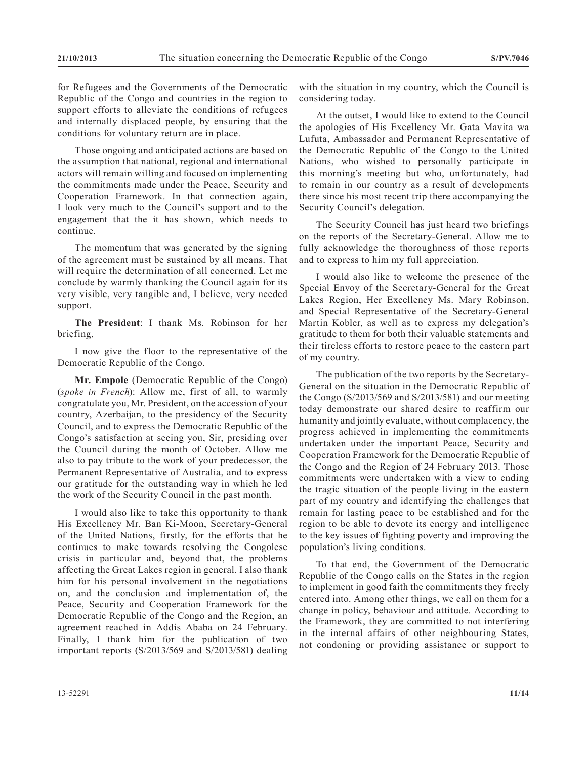for Refugees and the Governments of the Democratic Republic of the Congo and countries in the region to support efforts to alleviate the conditions of refugees and internally displaced people, by ensuring that the conditions for voluntary return are in place.

Those ongoing and anticipated actions are based on the assumption that national, regional and international actors will remain willing and focused on implementing the commitments made under the Peace, Security and Cooperation Framework. In that connection again, I look very much to the Council's support and to the engagement that the it has shown, which needs to continue.

The momentum that was generated by the signing of the agreement must be sustained by all means. That will require the determination of all concerned. Let me conclude by warmly thanking the Council again for its very visible, very tangible and, I believe, very needed support.

**The President**: I thank Ms. Robinson for her briefing.

I now give the floor to the representative of the Democratic Republic of the Congo.

**Mr. Empole** (Democratic Republic of the Congo) (*spoke in French*): Allow me, first of all, to warmly congratulate you, Mr. President, on the accession of your country, Azerbaijan, to the presidency of the Security Council, and to express the Democratic Republic of the Congo's satisfaction at seeing you, Sir, presiding over the Council during the month of October. Allow me also to pay tribute to the work of your predecessor, the Permanent Representative of Australia, and to express our gratitude for the outstanding way in which he led the work of the Security Council in the past month.

I would also like to take this opportunity to thank His Excellency Mr. Ban Ki-Moon, Secretary-General of the United Nations, firstly, for the efforts that he continues to make towards resolving the Congolese crisis in particular and, beyond that, the problems affecting the Great Lakes region in general. I also thank him for his personal involvement in the negotiations on, and the conclusion and implementation of, the Peace, Security and Cooperation Framework for the Democratic Republic of the Congo and the Region, an agreement reached in Addis Ababa on 24 February. Finally, I thank him for the publication of two important reports (S/2013/569 and S/2013/581) dealing

considering today.

At the outset, I would like to extend to the Council the apologies of His Excellency Mr. Gata Mavita wa Lufuta, Ambassador and Permanent Representative of the Democratic Republic of the Congo to the United Nations, who wished to personally participate in this morning's meeting but who, unfortunately, had to remain in our country as a result of developments there since his most recent trip there accompanying the Security Council's delegation.

with the situation in my country, which the Council is

The Security Council has just heard two briefings on the reports of the Secretary-General. Allow me to fully acknowledge the thoroughness of those reports and to express to him my full appreciation.

I would also like to welcome the presence of the Special Envoy of the Secretary-General for the Great Lakes Region, Her Excellency Ms. Mary Robinson, and Special Representative of the Secretary-General Martin Kobler, as well as to express my delegation's gratitude to them for both their valuable statements and their tireless efforts to restore peace to the eastern part of my country.

The publication of the two reports by the Secretary-General on the situation in the Democratic Republic of the Congo (S/2013/569 and S/2013/581) and our meeting today demonstrate our shared desire to reaffirm our humanity and jointly evaluate, without complacency, the progress achieved in implementing the commitments undertaken under the important Peace, Security and Cooperation Framework for the Democratic Republic of the Congo and the Region of 24 February 2013. Those commitments were undertaken with a view to ending the tragic situation of the people living in the eastern part of my country and identifying the challenges that remain for lasting peace to be established and for the region to be able to devote its energy and intelligence to the key issues of fighting poverty and improving the population's living conditions.

To that end, the Government of the Democratic Republic of the Congo calls on the States in the region to implement in good faith the commitments they freely entered into. Among other things, we call on them for a change in policy, behaviour and attitude. According to the Framework, they are committed to not interfering in the internal affairs of other neighbouring States, not condoning or providing assistance or support to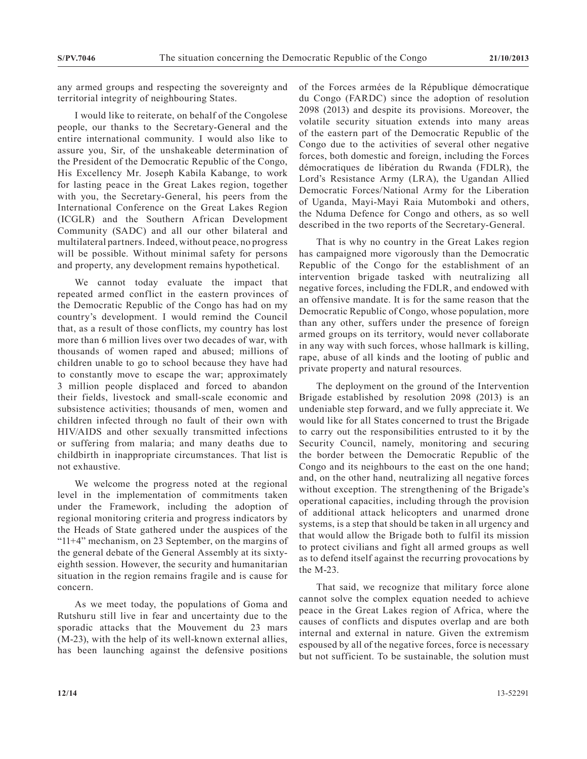any armed groups and respecting the sovereignty and territorial integrity of neighbouring States.

I would like to reiterate, on behalf of the Congolese people, our thanks to the Secretary-General and the entire international community. I would also like to assure you, Sir, of the unshakeable determination of the President of the Democratic Republic of the Congo, His Excellency Mr. Joseph Kabila Kabange, to work for lasting peace in the Great Lakes region, together with you, the Secretary-General, his peers from the International Conference on the Great Lakes Region (ICGLR) and the Southern African Development Community (SADC) and all our other bilateral and multilateral partners. Indeed, without peace, no progress will be possible. Without minimal safety for persons and property, any development remains hypothetical.

We cannot today evaluate the impact that repeated armed conflict in the eastern provinces of the Democratic Republic of the Congo has had on my country's development. I would remind the Council that, as a result of those conflicts, my country has lost more than 6 million lives over two decades of war, with thousands of women raped and abused; millions of children unable to go to school because they have had to constantly move to escape the war; approximately 3 million people displaced and forced to abandon their fields, livestock and small-scale economic and subsistence activities; thousands of men, women and children infected through no fault of their own with HIV/AIDS and other sexually transmitted infections or suffering from malaria; and many deaths due to childbirth in inappropriate circumstances. That list is not exhaustive.

We welcome the progress noted at the regional level in the implementation of commitments taken under the Framework, including the adoption of regional monitoring criteria and progress indicators by the Heads of State gathered under the auspices of the "11+4" mechanism, on 23 September, on the margins of the general debate of the General Assembly at its sixtyeighth session. However, the security and humanitarian situation in the region remains fragile and is cause for concern.

As we meet today, the populations of Goma and Rutshuru still live in fear and uncertainty due to the sporadic attacks that the Mouvement du 23 mars (M-23), with the help of its well-known external allies, has been launching against the defensive positions of the Forces armées de la République démocratique du Congo (FARDC) since the adoption of resolution 2098 (2013) and despite its provisions. Moreover, the volatile security situation extends into many areas of the eastern part of the Democratic Republic of the Congo due to the activities of several other negative forces, both domestic and foreign, including the Forces démocratiques de libération du Rwanda (FDLR), the Lord's Resistance Army (LRA), the Ugandan Allied Democratic Forces/National Army for the Liberation of Uganda, Mayi-Mayi Raia Mutomboki and others, the Nduma Defence for Congo and others, as so well described in the two reports of the Secretary-General.

That is why no country in the Great Lakes region has campaigned more vigorously than the Democratic Republic of the Congo for the establishment of an intervention brigade tasked with neutralizing all negative forces, including the FDLR, and endowed with an offensive mandate. It is for the same reason that the Democratic Republic of Congo, whose population, more than any other, suffers under the presence of foreign armed groups on its territory, would never collaborate in any way with such forces, whose hallmark is killing, rape, abuse of all kinds and the looting of public and private property and natural resources.

The deployment on the ground of the Intervention Brigade established by resolution 2098 (2013) is an undeniable step forward, and we fully appreciate it. We would like for all States concerned to trust the Brigade to carry out the responsibilities entrusted to it by the Security Council, namely, monitoring and securing the border between the Democratic Republic of the Congo and its neighbours to the east on the one hand; and, on the other hand, neutralizing all negative forces without exception. The strengthening of the Brigade's operational capacities, including through the provision of additional attack helicopters and unarmed drone systems, is a step that should be taken in all urgency and that would allow the Brigade both to fulfil its mission to protect civilians and fight all armed groups as well as to defend itself against the recurring provocations by the M-23.

That said, we recognize that military force alone cannot solve the complex equation needed to achieve peace in the Great Lakes region of Africa, where the causes of conflicts and disputes overlap and are both internal and external in nature. Given the extremism espoused by all of the negative forces, force is necessary but not sufficient. To be sustainable, the solution must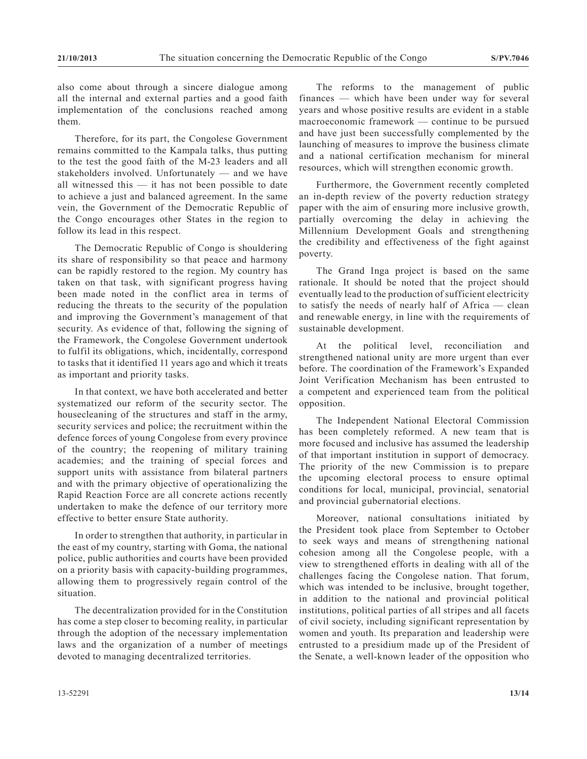also come about through a sincere dialogue among all the internal and external parties and a good faith implementation of the conclusions reached among them.

Therefore, for its part, the Congolese Government remains committed to the Kampala talks, thus putting to the test the good faith of the M-23 leaders and all stakeholders involved. Unfortunately — and we have all witnessed this — it has not been possible to date to achieve a just and balanced agreement. In the same vein, the Government of the Democratic Republic of the Congo encourages other States in the region to follow its lead in this respect.

The Democratic Republic of Congo is shouldering its share of responsibility so that peace and harmony can be rapidly restored to the region. My country has taken on that task, with significant progress having been made noted in the conflict area in terms of reducing the threats to the security of the population and improving the Government's management of that security. As evidence of that, following the signing of the Framework, the Congolese Government undertook to fulfil its obligations, which, incidentally, correspond to tasks that it identified 11 years ago and which it treats as important and priority tasks.

In that context, we have both accelerated and better systematized our reform of the security sector. The housecleaning of the structures and staff in the army, security services and police; the recruitment within the defence forces of young Congolese from every province of the country; the reopening of military training academies; and the training of special forces and support units with assistance from bilateral partners and with the primary objective of operationalizing the Rapid Reaction Force are all concrete actions recently undertaken to make the defence of our territory more effective to better ensure State authority.

In order to strengthen that authority, in particular in the east of my country, starting with Goma, the national police, public authorities and courts have been provided on a priority basis with capacity-building programmes, allowing them to progressively regain control of the situation.

The decentralization provided for in the Constitution has come a step closer to becoming reality, in particular through the adoption of the necessary implementation laws and the organization of a number of meetings devoted to managing decentralized territories.

The reforms to the management of public finances — which have been under way for several years and whose positive results are evident in a stable macroeconomic framework — continue to be pursued and have just been successfully complemented by the launching of measures to improve the business climate and a national certification mechanism for mineral resources, which will strengthen economic growth.

Furthermore, the Government recently completed an in-depth review of the poverty reduction strategy paper with the aim of ensuring more inclusive growth, partially overcoming the delay in achieving the Millennium Development Goals and strengthening the credibility and effectiveness of the fight against poverty.

The Grand Inga project is based on the same rationale. It should be noted that the project should eventually lead to the production of sufficient electricity to satisfy the needs of nearly half of Africa — clean and renewable energy, in line with the requirements of sustainable development.

At the political level, reconciliation and strengthened national unity are more urgent than ever before. The coordination of the Framework's Expanded Joint Verification Mechanism has been entrusted to a competent and experienced team from the political opposition.

The Independent National Electoral Commission has been completely reformed. A new team that is more focused and inclusive has assumed the leadership of that important institution in support of democracy. The priority of the new Commission is to prepare the upcoming electoral process to ensure optimal conditions for local, municipal, provincial, senatorial and provincial gubernatorial elections.

Moreover, national consultations initiated by the President took place from September to October to seek ways and means of strengthening national cohesion among all the Congolese people, with a view to strengthened efforts in dealing with all of the challenges facing the Congolese nation. That forum, which was intended to be inclusive, brought together, in addition to the national and provincial political institutions, political parties of all stripes and all facets of civil society, including significant representation by women and youth. Its preparation and leadership were entrusted to a presidium made up of the President of the Senate, a well-known leader of the opposition who